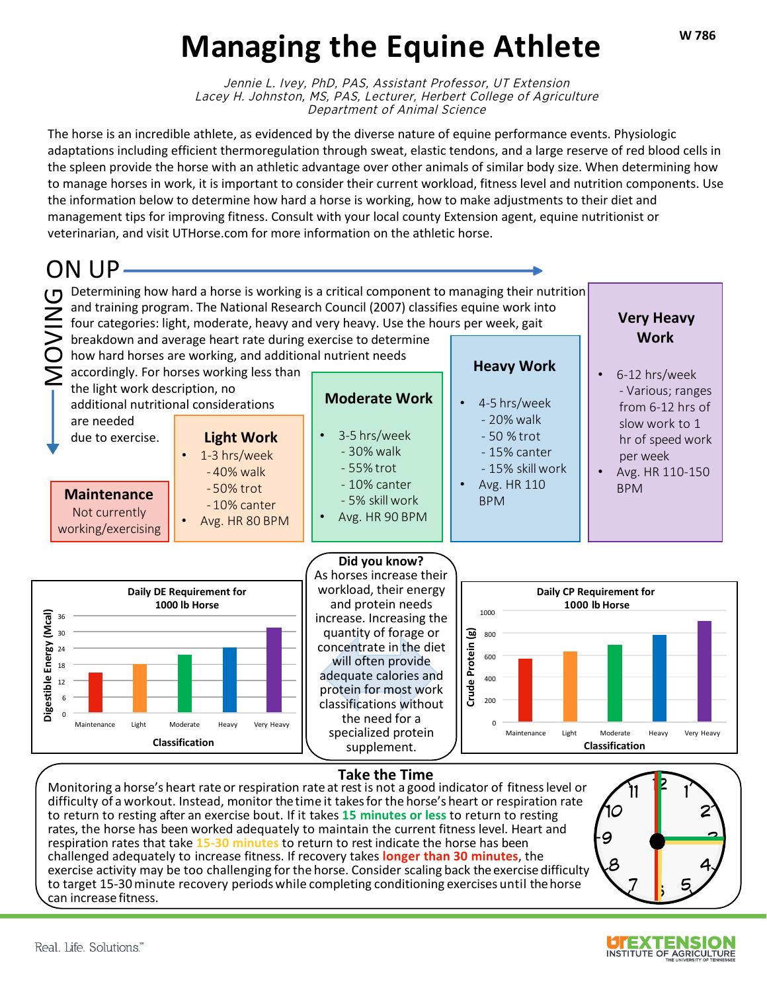#### **W 786**

# **Managing the Equine Athlete**

Jennie L. Ivey, PhD, PAS, Assistant Professor, UT Extension Lacey H. Johnston, MS, PAS, Lecturer, Herbert College of Agriculture Department of Animal Science

The horse is an incredible athlete, as evidenced by the diverse nature of equine performance events. Physiologic adaptations including efficient thermoregulation through sweat, elastic tendons, and a large reserve of red blood cells in the spleen provide the horse with an athletic advantage over other animals of similar body size. When determining how to manage horses in work, it is important to consider their current workload, fitness level and nutrition components. Use the information below to determine how hard a horse is working, how to make adjustments to their diet and management tips for improving fitness. Consult with your local county Extension agent, equine nutritionist or veterinarian, and visit UTHorse.com for more information on the athletic horse.



#### **Take the Time**

Monitoring a horse's heart rate or respiration rate at rest is not a good indicator of fitnesslevel or difficulty of a workout. Instead, monitor thetime it takesfor the horse's heart or respiration rate to return to resting after an exercise bout. If it takes **15 minutes or less** to return to resting rates, the horse has been worked adequately to maintain the current fitness level. Heart and respiration rates that take **15-30 minutes** to return to rest indicate the horse has been challenged adequately to increase fitness. If recovery takes **longer than 30 minutes**, the exercise activity may be too challenging for the horse. Consider scaling back the exercise difficulty to target 15-30minute recovery periods while completing conditioning exercises until thehorse can increase fitness.